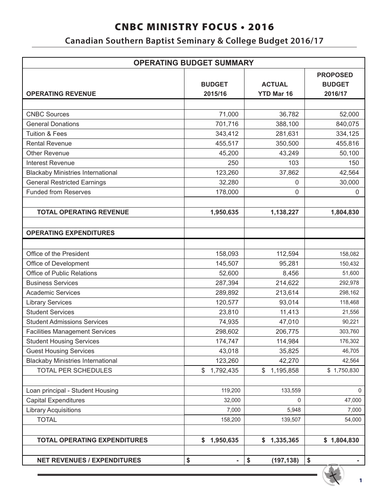## **Canadian Southern Baptist Seminary & College Budget 2016/17**

| <b>OPERATING BUDGET SUMMARY</b>          |                                |                                    |                                             |  |  |
|------------------------------------------|--------------------------------|------------------------------------|---------------------------------------------|--|--|
| <b>OPERATING REVENUE</b>                 | <b>BUDGET</b><br>2015/16       | <b>ACTUAL</b><br><b>YTD Mar 16</b> | <b>PROPOSED</b><br><b>BUDGET</b><br>2016/17 |  |  |
|                                          |                                |                                    |                                             |  |  |
| <b>CNBC Sources</b>                      | 71,000                         | 36,782                             | 52,000                                      |  |  |
| <b>General Donations</b>                 | 701,716                        | 388,100                            | 840,075                                     |  |  |
| <b>Tuition &amp; Fees</b>                | 343,412                        | 281,631                            | 334,125                                     |  |  |
| <b>Rental Revenue</b>                    | 455,517                        | 350,500                            | 455,816                                     |  |  |
| <b>Other Revenue</b>                     | 45,200                         | 43,249                             | 50,100                                      |  |  |
| <b>Interest Revenue</b>                  | 250                            | 103                                | 150                                         |  |  |
| <b>Blackaby Ministries International</b> | 123,260                        | 37,862                             | 42,564                                      |  |  |
| <b>General Restricted Earnings</b>       | 32,280                         | 0                                  | 30,000                                      |  |  |
| <b>Funded from Reserves</b>              | 178,000                        | 0                                  | $\pmb{0}$                                   |  |  |
|                                          |                                |                                    |                                             |  |  |
| <b>TOTAL OPERATING REVENUE</b>           | 1,950,635                      | 1,138,227                          | 1,804,830                                   |  |  |
|                                          |                                |                                    |                                             |  |  |
| <b>OPERATING EXPENDITURES</b>            |                                |                                    |                                             |  |  |
|                                          |                                |                                    |                                             |  |  |
| Office of the President                  | 158,093                        | 112,594                            | 158,082                                     |  |  |
| Office of Development                    | 145,507                        | 95,281                             | 150,432                                     |  |  |
| Office of Public Relations               | 52,600                         | 8,456                              | 51,600                                      |  |  |
| <b>Business Services</b>                 | 287,394                        | 214,622                            | 292,978                                     |  |  |
| <b>Academic Services</b>                 | 289,892                        | 213,614                            | 298,162                                     |  |  |
| <b>Library Services</b>                  | 120,577                        | 93,014                             | 118,468                                     |  |  |
| <b>Student Services</b>                  | 23,810                         | 11,413                             | 21,556                                      |  |  |
| <b>Student Admissions Services</b>       | 74,935                         | 47,010                             | 90,221                                      |  |  |
| <b>Facilities Management Services</b>    | 298,602                        | 206,775                            | 303,760                                     |  |  |
| <b>Student Housing Services</b>          | 174,747                        | 114,984                            | 176,302                                     |  |  |
| <b>Guest Housing Services</b>            | 43,018                         | 35,825                             | 46,705                                      |  |  |
| <b>Blackaby Ministries International</b> | 123,260                        | 42,270                             | 42,564                                      |  |  |
| TOTAL PER SCHEDULES                      | 1,792,435<br>\$                | \$<br>1,195,858                    | \$1,750,830                                 |  |  |
|                                          |                                |                                    |                                             |  |  |
| Loan principal - Student Housing         | 119,200                        | 133,559                            | 0                                           |  |  |
| <b>Capital Expenditures</b>              | 32,000                         | $\Omega$                           | 47,000                                      |  |  |
| <b>Library Acquisitions</b>              | 7,000                          | 5,948                              | 7,000                                       |  |  |
| <b>TOTAL</b>                             | 158,200                        | 139,507                            | 54,000                                      |  |  |
|                                          |                                |                                    |                                             |  |  |
| <b>TOTAL OPERATING EXPENDITURES</b>      | 1,950,635<br>\$                | \$1,335,365                        | \$1,804,830                                 |  |  |
|                                          |                                |                                    |                                             |  |  |
| <b>NET REVENUES / EXPENDITURES</b>       | \$<br>$\overline{\phantom{0}}$ | \$<br>(197, 138)                   | \$                                          |  |  |

1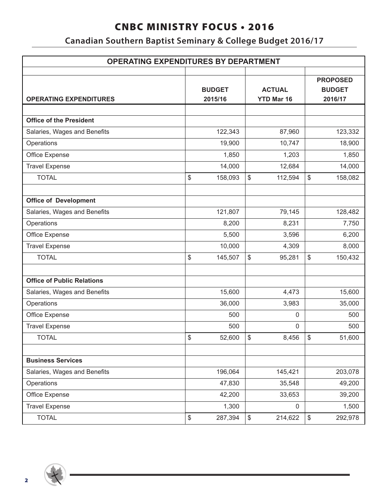## **Canadian Southern Baptist Seminary & College Budget 2016/17**

| <b>OPERATING EXPENDITURES BY DEPARTMENT</b> |    |                                                                |              |                                             |              |         |
|---------------------------------------------|----|----------------------------------------------------------------|--------------|---------------------------------------------|--------------|---------|
| <b>OPERATING EXPENDITURES</b>               |    | <b>BUDGET</b><br><b>ACTUAL</b><br><b>YTD Mar 16</b><br>2015/16 |              | <b>PROPOSED</b><br><b>BUDGET</b><br>2016/17 |              |         |
|                                             |    |                                                                |              |                                             |              |         |
| <b>Office of the President</b>              |    |                                                                |              |                                             |              |         |
| Salaries, Wages and Benefits                |    | 122,343                                                        |              | 87,960                                      |              | 123,332 |
| Operations                                  |    | 19,900                                                         |              | 10,747                                      |              | 18,900  |
| Office Expense                              |    | 1,850                                                          |              | 1,203                                       |              | 1,850   |
| <b>Travel Expense</b>                       |    | 14,000                                                         |              | 12,684                                      |              | 14,000  |
| <b>TOTAL</b>                                | \$ | 158,093                                                        | \$           | 112,594                                     | \$           | 158,082 |
|                                             |    |                                                                |              |                                             |              |         |
| <b>Office of Development</b>                |    |                                                                |              |                                             |              |         |
| Salaries, Wages and Benefits                |    | 121,807                                                        |              | 79,145                                      |              | 128,482 |
| Operations                                  |    | 8,200                                                          |              | 8,231                                       |              | 7,750   |
| Office Expense                              |    | 5,500                                                          |              | 3,596                                       |              | 6,200   |
| <b>Travel Expense</b>                       |    | 10,000                                                         |              | 4,309                                       |              | 8,000   |
| <b>TOTAL</b>                                | \$ | 145,507                                                        | \$           | 95,281                                      | \$           | 150,432 |
|                                             |    |                                                                |              |                                             |              |         |
| <b>Office of Public Relations</b>           |    |                                                                |              |                                             |              |         |
| Salaries, Wages and Benefits                |    | 15,600                                                         |              | 4,473                                       |              | 15,600  |
| Operations                                  |    | 36,000                                                         |              | 3,983                                       |              | 35,000  |
| Office Expense                              |    | 500                                                            |              | 0                                           |              | 500     |
| <b>Travel Expense</b>                       |    | 500                                                            |              | $\boldsymbol{0}$                            |              | 500     |
| <b>TOTAL</b>                                | \$ | 52,600                                                         | $\mathbb{S}$ | 8,456                                       | $\mathbb{S}$ | 51,600  |
|                                             |    |                                                                |              |                                             |              |         |
| <b>Business Services</b>                    |    |                                                                |              |                                             |              |         |
| Salaries, Wages and Benefits                |    | 196,064                                                        |              | 145,421                                     |              | 203,078 |
| Operations                                  |    | 47,830                                                         |              | 35,548                                      |              | 49,200  |
| Office Expense                              |    | 42,200                                                         |              | 33,653                                      |              | 39,200  |
| <b>Travel Expense</b>                       |    | 1,300                                                          |              | 0                                           |              | 1,500   |
| <b>TOTAL</b>                                | \$ | 287,394                                                        | \$           | 214,622                                     | \$           | 292,978 |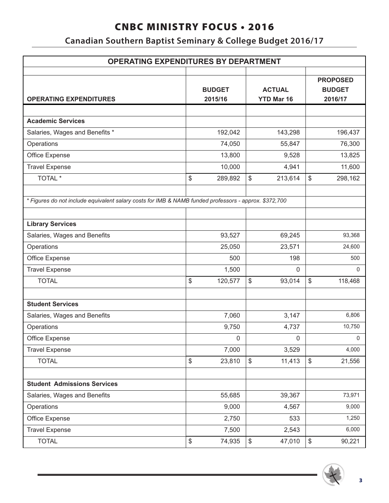## **Canadian Southern Baptist Seminary & College Budget 2016/17**

| <b>OPERATING EXPENDITURES BY DEPARTMENT</b>                                                           |    |                          |                                    |             |                                             |              |
|-------------------------------------------------------------------------------------------------------|----|--------------------------|------------------------------------|-------------|---------------------------------------------|--------------|
| <b>OPERATING EXPENDITURES</b>                                                                         |    | <b>BUDGET</b><br>2015/16 | <b>ACTUAL</b><br><b>YTD Mar 16</b> |             | <b>PROPOSED</b><br><b>BUDGET</b><br>2016/17 |              |
|                                                                                                       |    |                          |                                    |             |                                             |              |
| <b>Academic Services</b>                                                                              |    |                          |                                    |             |                                             |              |
| Salaries, Wages and Benefits *                                                                        |    | 192,042                  |                                    | 143,298     |                                             | 196,437      |
| Operations                                                                                            |    | 74,050                   |                                    | 55,847      |                                             | 76,300       |
| Office Expense                                                                                        |    | 13,800                   |                                    | 9,528       |                                             | 13,825       |
| <b>Travel Expense</b>                                                                                 |    | 10,000                   |                                    | 4,941       |                                             | 11,600       |
| TOTAL *                                                                                               | \$ | 289,892                  | \$                                 | 213,614     | \$                                          | 298,162      |
| * Figures do not include equivalent salary costs for IMB & NAMB funded professors - approx. \$372,700 |    |                          |                                    |             |                                             |              |
| <b>Library Services</b>                                                                               |    |                          |                                    |             |                                             |              |
| Salaries, Wages and Benefits                                                                          |    | 93,527                   |                                    | 69,245      |                                             | 93,368       |
| Operations                                                                                            |    | 25,050                   |                                    | 23,571      |                                             | 24,600       |
| Office Expense                                                                                        |    | 500                      |                                    | 198         |                                             | 500          |
| <b>Travel Expense</b>                                                                                 |    | 1,500                    |                                    | $\mathbf 0$ |                                             | $\mathbf{0}$ |
| <b>TOTAL</b>                                                                                          | \$ | 120,577                  | \$                                 | 93,014      | \$                                          | 118,468      |
| <b>Student Services</b>                                                                               |    |                          |                                    |             |                                             |              |
| Salaries, Wages and Benefits                                                                          |    | 7,060                    |                                    | 3,147       |                                             | 6,806        |
| Operations                                                                                            |    | 9,750                    |                                    | 4,737       |                                             | 10,750       |
| Office Expense                                                                                        |    | $\mathsf 0$              |                                    | $\mathsf 0$ |                                             | 0            |
| <b>Travel Expense</b>                                                                                 |    | 7,000                    |                                    | 3,529       |                                             | 4,000        |
| <b>TOTAL</b>                                                                                          | \$ | 23,810                   | \$                                 | 11,413      | \$                                          | 21,556       |
|                                                                                                       |    |                          |                                    |             |                                             |              |
| <b>Student Admissions Services</b>                                                                    |    |                          |                                    |             |                                             |              |
| Salaries, Wages and Benefits                                                                          |    | 55,685                   |                                    | 39,367      |                                             | 73,971       |
| Operations                                                                                            |    | 9,000                    |                                    | 4,567       |                                             | 9,000        |
| Office Expense                                                                                        |    | 2,750                    |                                    | 533         |                                             | 1,250        |
| <b>Travel Expense</b>                                                                                 |    | 7,500                    |                                    | 2,543       |                                             | 6,000        |
| <b>TOTAL</b>                                                                                          | \$ | 74,935                   | \$                                 | 47,010      | \$                                          | 90,221       |